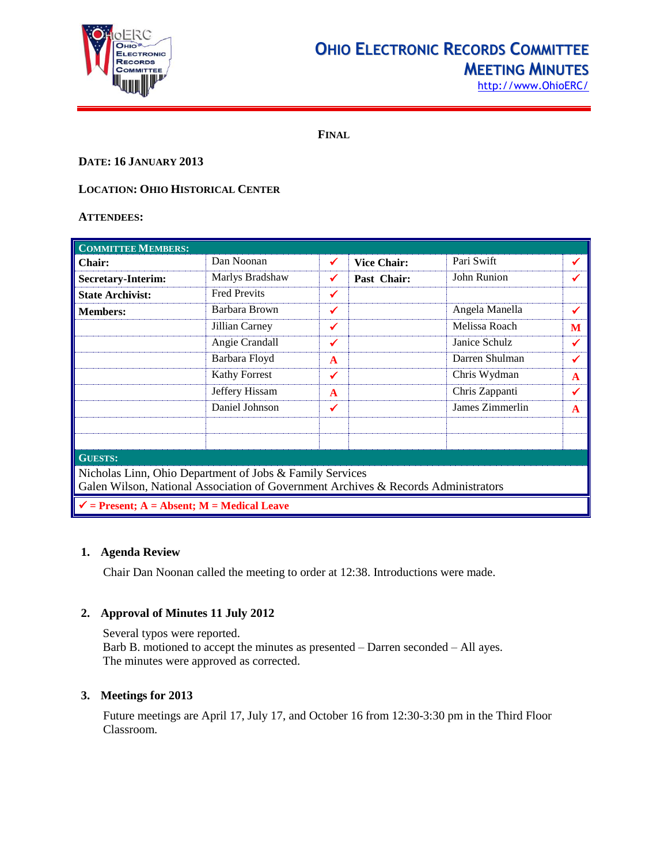

## **OHIO ELECTRONIC RECORDS COMMITTEE MEETING MINUTES**

http://www.OhioERC/

**FINAL**

### **DATE: 16 JANUARY 2013**

## **LOCATION: OHIO HISTORICAL CENTER**

#### **ATTENDEES:**

| <b>COMMITTEE MEMBERS:</b>                                                                                                                      |                      |              |                    |                 |              |  |
|------------------------------------------------------------------------------------------------------------------------------------------------|----------------------|--------------|--------------------|-----------------|--------------|--|
| <b>Chair:</b>                                                                                                                                  | Dan Noonan           | ✔            | <b>Vice Chair:</b> | Pari Swift      | ✔            |  |
| <b>Secretary-Interim:</b>                                                                                                                      | Marlys Bradshaw      | ✔            | Past Chair:        | John Runion     | ✔            |  |
| <b>State Archivist:</b>                                                                                                                        | <b>Fred Previts</b>  | ✓            |                    |                 |              |  |
| <b>Members:</b>                                                                                                                                | Barbara Brown        | ✓            |                    | Angela Manella  | ✔            |  |
|                                                                                                                                                | Jillian Carney       | ✓            |                    | Melissa Roach   | M            |  |
|                                                                                                                                                | Angie Crandall       | ✔            |                    | Janice Schulz   | $\checkmark$ |  |
|                                                                                                                                                | Barbara Floyd        | $\mathbf{A}$ |                    | Darren Shulman  | ✔            |  |
|                                                                                                                                                | <b>Kathy Forrest</b> | ✓            |                    | Chris Wydman    | A            |  |
|                                                                                                                                                | Jeffery Hissam       | $\mathbf{A}$ |                    | Chris Zappanti  | ✓            |  |
|                                                                                                                                                | Daniel Johnson       | ✔            |                    | James Zimmerlin | A            |  |
|                                                                                                                                                |                      |              |                    |                 |              |  |
| <b>GUESTS:</b>                                                                                                                                 |                      |              |                    |                 |              |  |
| Nicholas Linn, Ohio Department of Jobs & Family Services<br>Galen Wilson, National Association of Government Archives & Records Administrators |                      |              |                    |                 |              |  |
| $\checkmark$ = Present; A = Absent; M = Medical Leave                                                                                          |                      |              |                    |                 |              |  |

#### **1. Agenda Review**

Chair Dan Noonan called the meeting to order at 12:38. Introductions were made.

#### **2. Approval of Minutes 11 July 2012**

Several typos were reported. Barb B. motioned to accept the minutes as presented – Darren seconded – All ayes. The minutes were approved as corrected.

#### **3. Meetings for 2013**

Future meetings are April 17, July 17, and October 16 from 12:30-3:30 pm in the Third Floor Classroom.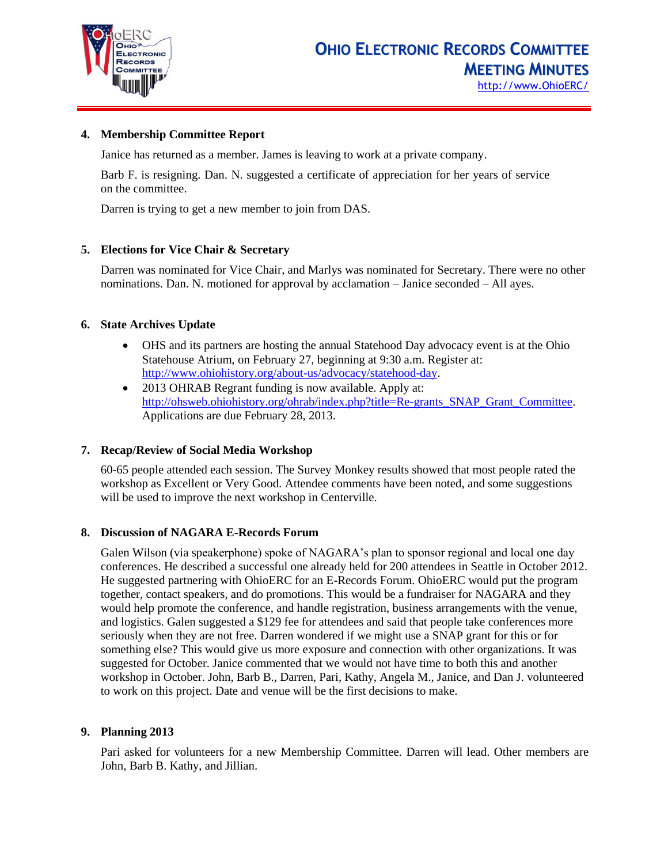

#### **4. Membership Committee Report**

Janice has returned as a member. James is leaving to work at a private company.

Barb F. is resigning. Dan. N. suggested a certificate of appreciation for her years of service on the committee.

Darren is trying to get a new member to join from DAS.

#### **5. Elections for Vice Chair & Secretary**

Darren was nominated for Vice Chair, and Marlys was nominated for Secretary. There were no other nominations. Dan. N. motioned for approval by acclamation – Janice seconded – All ayes.

#### **6. State Archives Update**

- OHS and its partners are hosting the annual Statehood Day advocacy event is at the Ohio Statehouse Atrium, on February 27, beginning at 9:30 a.m. Register at: [http://www.ohiohistory.org/about-us/advocacy/statehood-day.](http://www.ohiohistory.org/about-us/advocacy/statehood-day)
- 2013 OHRAB Regrant funding is now available. Apply at: [http://ohsweb.ohiohistory.org/ohrab/index.php?title=Re-grants\\_SNAP\\_Grant\\_Committee.](http://ohsweb.ohiohistory.org/ohrab/index.php?title=Re-grants_SNAP_Grant_Committee) Applications are due February 28, 2013.

#### **7. Recap/Review of Social Media Workshop**

60-65 people attended each session. The Survey Monkey results showed that most people rated the workshop as Excellent or Very Good. Attendee comments have been noted, and some suggestions will be used to improve the next workshop in Centerville.

#### **8. Discussion of NAGARA E-Records Forum**

Galen Wilson (via speakerphone) spoke of NAGARA's plan to sponsor regional and local one day conferences. He described a successful one already held for 200 attendees in Seattle in October 2012. He suggested partnering with OhioERC for an E-Records Forum. OhioERC would put the program together, contact speakers, and do promotions. This would be a fundraiser for NAGARA and they would help promote the conference, and handle registration, business arrangements with the venue, and logistics. Galen suggested a \$129 fee for attendees and said that people take conferences more seriously when they are not free. Darren wondered if we might use a SNAP grant for this or for something else? This would give us more exposure and connection with other organizations. It was suggested for October. Janice commented that we would not have time to both this and another workshop in October. John, Barb B., Darren, Pari, Kathy, Angela M., Janice, and Dan J. volunteered to work on this project. Date and venue will be the first decisions to make.

#### **9. Planning 2013**

Pari asked for volunteers for a new Membership Committee. Darren will lead. Other members are John, Barb B. Kathy, and Jillian.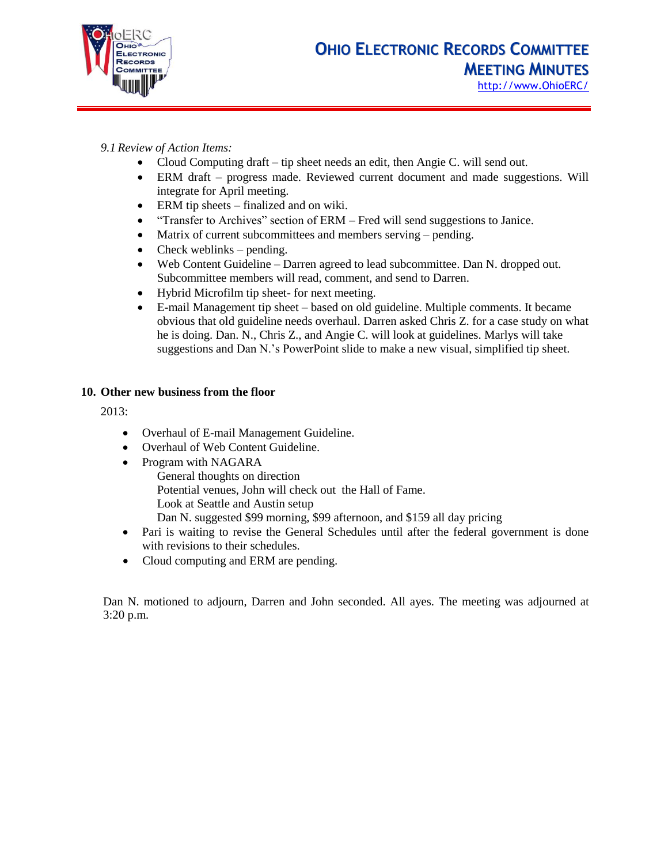

## *9.1 Review of Action Items:*

- Cloud Computing draft tip sheet needs an edit, then Angie C. will send out.
- ERM draft progress made. Reviewed current document and made suggestions. Will integrate for April meeting.
- ERM tip sheets finalized and on wiki.
- "Transfer to Archives" section of ERM Fred will send suggestions to Janice.
- Matrix of current subcommittees and members serving pending.
- $\bullet$  Check weblinks pending.
- Web Content Guideline Darren agreed to lead subcommittee. Dan N. dropped out. Subcommittee members will read, comment, and send to Darren.
- Hybrid Microfilm tip sheet- for next meeting.
- E-mail Management tip sheet based on old guideline. Multiple comments. It became obvious that old guideline needs overhaul. Darren asked Chris Z. for a case study on what he is doing. Dan. N., Chris Z., and Angie C. will look at guidelines. Marlys will take suggestions and Dan N.'s PowerPoint slide to make a new visual, simplified tip sheet.

#### **10. Other new business from the floor**

2013:

- Overhaul of E-mail Management Guideline.
- Overhaul of Web Content Guideline.
- Program with NAGARA General thoughts on direction Potential venues, John will check out the Hall of Fame. Look at Seattle and Austin setup Dan N. suggested \$99 morning, \$99 afternoon, and \$159 all day pricing
- Pari is waiting to revise the General Schedules until after the federal government is done with revisions to their schedules.
- Cloud computing and ERM are pending.

Dan N. motioned to adjourn, Darren and John seconded. All ayes. The meeting was adjourned at 3:20 p.m.